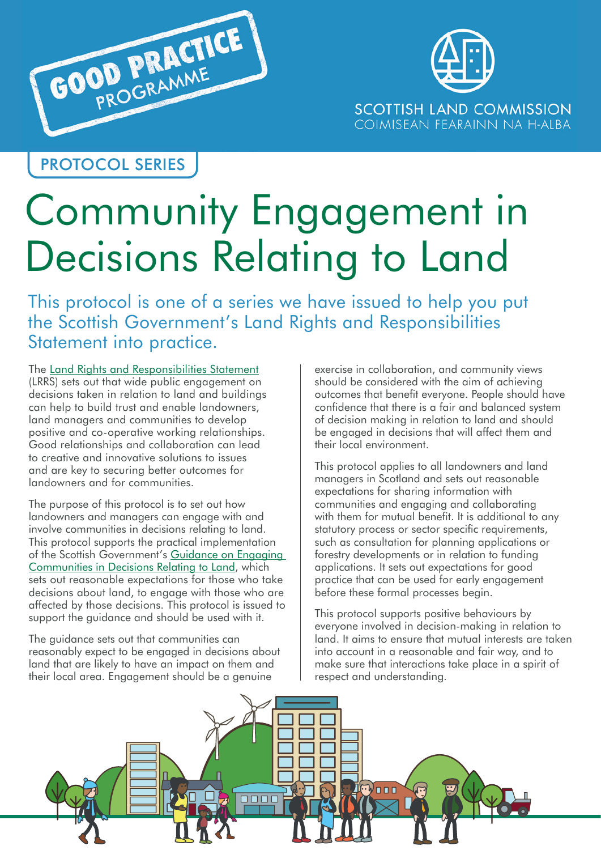



PROTOCOL SERIES

# Community Engagement in Decisions Relating to Land

This protocol is one of a series we have issued to help you put the Scottish Government's Land Rights and Responsibilities Statement into practice.

The [Land Rights and Responsibilities Statement](https://www.gov.scot/publications/scottish-land-rights-responsibilities-statement/) (LRRS) sets out that wide public engagement on decisions taken in relation to land and buildings can help to build trust and enable landowners, land managers and communities to develop positive and co-operative working relationships. Good relationships and collaboration can lead to creative and innovative solutions to issues and are key to securing better outcomes for landowners and for communities.

The purpose of this protocol is to set out how landowners and managers can engage with and involve communities in decisions relating to land. This protocol supports the practical implementation of the Scottish Government's [Guidance on Engaging](https://www.gov.scot/publications/guidance-engaging-communities-decisions-relating-land/)  [Communities in Decisions Relating to Land,](https://www.gov.scot/publications/guidance-engaging-communities-decisions-relating-land/) which sets out reasonable expectations for those who take decisions about land, to engage with those who are affected by those decisions. This protocol is issued to support the guidance and should be used with it.

The guidance sets out that communities can reasonably expect to be engaged in decisions about land that are likely to have an impact on them and their local area. Engagement should be a genuine

exercise in collaboration, and community views should be considered with the aim of achieving outcomes that benefit everyone. People should have confidence that there is a fair and balanced system of decision making in relation to land and should be engaged in decisions that will affect them and their local environment.

This protocol applies to all landowners and land managers in Scotland and sets out reasonable expectations for sharing information with communities and engaging and collaborating with them for mutual benefit. It is additional to any statutory process or sector specific requirements, such as consultation for planning applications or forestry developments or in relation to funding applications. It sets out expectations for good practice that can be used for early engagement before these formal processes begin.

This protocol supports positive behaviours by everyone involved in decision-making in relation to land. It aims to ensure that mutual interests are taken into account in a reasonable and fair way, and to make sure that interactions take place in a spirit of respect and understanding.

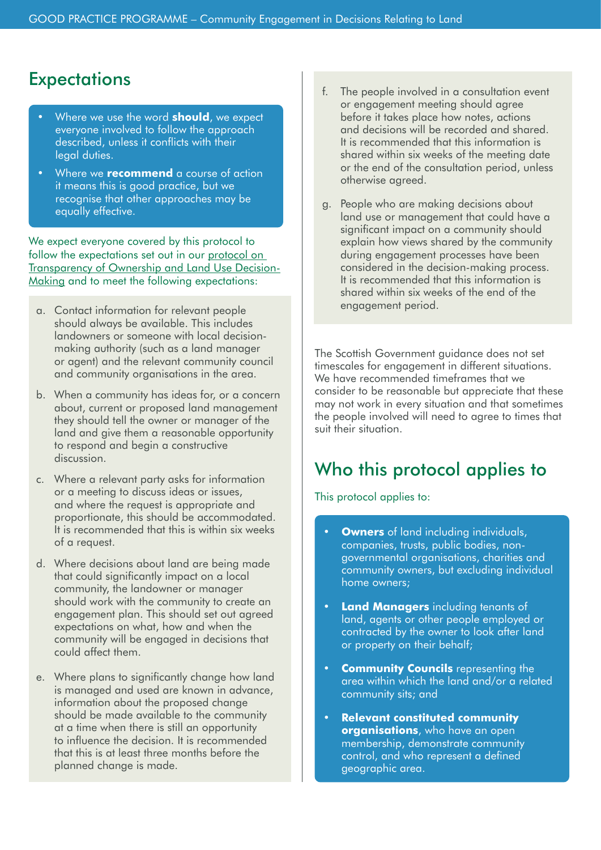## **Expectations**

- Where we use the word **should**, we expect everyone involved to follow the approach described, unless it conflicts with their legal duties.
- Where we **recommend** a course of action it means this is good practice, but we recognise that other approaches may be equally effective.

We expect everyone covered by this protocol to follow the expectations set out in our [protocol on](https://www.landcommission.gov.scot/downloads/5e83152817c75_GP Protocol %E2%80%93 Transparency web FINAL.pdf)  [Transparency of Ownership and Land Use Decision-](https://www.landcommission.gov.scot/downloads/5e83152817c75_GP Protocol %E2%80%93 Transparency web FINAL.pdf)[Making](https://www.landcommission.gov.scot/downloads/5e83152817c75_GP Protocol %E2%80%93 Transparency web FINAL.pdf) and to meet the following expectations:

- a. Contact information for relevant people should always be available. This includes landowners or someone with local decisionmaking authority (such as a land manager or agent) and the relevant community council and community organisations in the area.
- b. When a community has ideas for, or a concern about, current or proposed land management they should tell the owner or manager of the land and give them a reasonable opportunity to respond and begin a constructive discussion.
- c. Where a relevant party asks for information or a meeting to discuss ideas or issues, and where the request is appropriate and proportionate, this should be accommodated. It is recommended that this is within six weeks of a request.
- d. Where decisions about land are being made that could significantly impact on a local community, the landowner or manager should work with the community to create an engagement plan. This should set out agreed expectations on what, how and when the community will be engaged in decisions that could affect them.
- e. Where plans to significantly change how land is managed and used are known in advance, information about the proposed change should be made available to the community at a time when there is still an opportunity to influence the decision. It is recommended that this is at least three months before the planned change is made.
- f. The people involved in a consultation event or engagement meeting should agree before it takes place how notes, actions and decisions will be recorded and shared. It is recommended that this information is shared within six weeks of the meeting date or the end of the consultation period, unless otherwise agreed.
- g. People who are making decisions about land use or management that could have a significant impact on a community should explain how views shared by the community during engagement processes have been considered in the decision-making process. It is recommended that this information is shared within six weeks of the end of the engagement period.

The Scottish Government guidance does not set timescales for engagement in different situations. We have recommended timeframes that we consider to be reasonable but appreciate that these may not work in every situation and that sometimes the people involved will need to agree to times that suit their situation.

## Who this protocol applies to

This protocol applies to:

- **Owners** of land including individuals, companies, trusts, public bodies, nongovernmental organisations, charities and community owners, but excluding individual home owners;
- **Land Managers** including tenants of land, agents or other people employed or contracted by the owner to look after land or property on their behalf;
- **Community Councils** representing the area within which the land and/or a related community sits; and
- **Relevant constituted community organisations**, who have an open membership, demonstrate community control, and who represent a defined geographic area.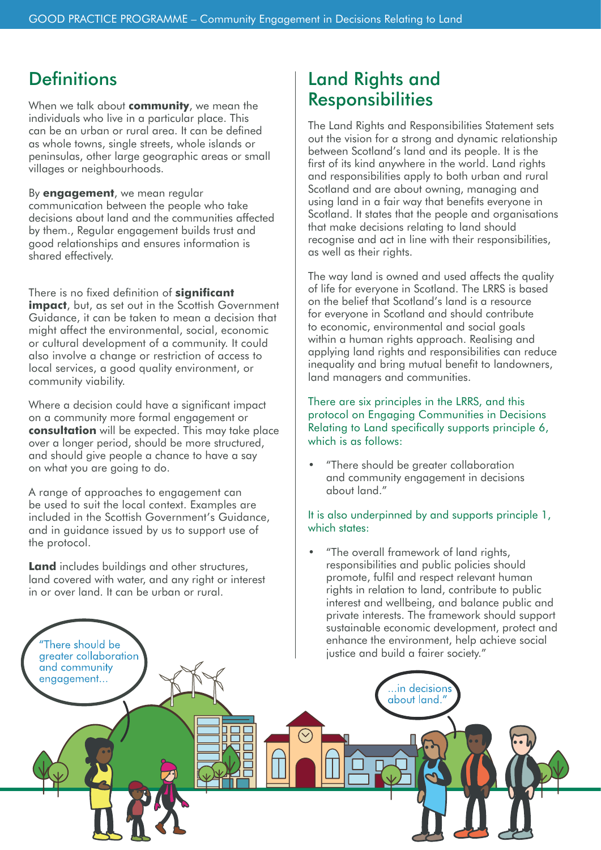## **Definitions**

When we talk about **community**, we mean the individuals who live in a particular place. This can be an urban or rural area. It can be defined as whole towns, single streets, whole islands or peninsulas, other large geographic areas or small villages or neighbourhoods.

By **engagement**, we mean regular communication between the people who take decisions about land and the communities affected by them., Regular engagement builds trust and good relationships and ensures information is shared effectively.

There is no fixed definition of **significant** 

**impact**, but, as set out in the Scottish Government Guidance, it can be taken to mean a decision that might affect the environmental, social, economic or cultural development of a community. It could also involve a change or restriction of access to local services, a good quality environment, or community viability.

Where a decision could have a significant impact on a community more formal engagement or **consultation** will be expected. This may take place over a longer period, should be more structured, and should give people a chance to have a say on what you are going to do.

A range of approaches to engagement can be used to suit the local context. Examples are included in the Scottish Government's Guidance, and in guidance issued by us to support use of the protocol.

**Land** includes buildings and other structures, land covered with water, and any right or interest in or over land. It can be urban or rural.

"There should be

#### Land Rights and **Responsibilities**

The Land Rights and Responsibilities Statement sets out the vision for a strong and dynamic relationship between Scotland's land and its people. It is the first of its kind anywhere in the world. Land rights and responsibilities apply to both urban and rural Scotland and are about owning, managing and using land in a fair way that benefits everyone in Scotland. It states that the people and organisations that make decisions relating to land should recognise and act in line with their responsibilities, as well as their rights.

The way land is owned and used affects the quality of life for everyone in Scotland. The LRRS is based on the belief that Scotland's land is a resource for everyone in Scotland and should contribute to economic, environmental and social goals within a human rights approach. Realising and applying land rights and responsibilities can reduce inequality and bring mutual benefit to landowners, land managers and communities.

#### There are six principles in the LRRS, and this protocol on Engaging Communities in Decisions Relating to Land specifically supports principle 6, which is as follows:

• "There should be greater collaboration and community engagement in decisions about land."

#### It is also underpinned by and supports principle 1, which states:

• "The overall framework of land rights, responsibilities and public policies should promote, fulfil and respect relevant human rights in relation to land, contribute to public interest and wellbeing, and balance public and private interests. The framework should support sustainable economic development, protect and enhance the environment, help achieve social justice and build a fairer society."